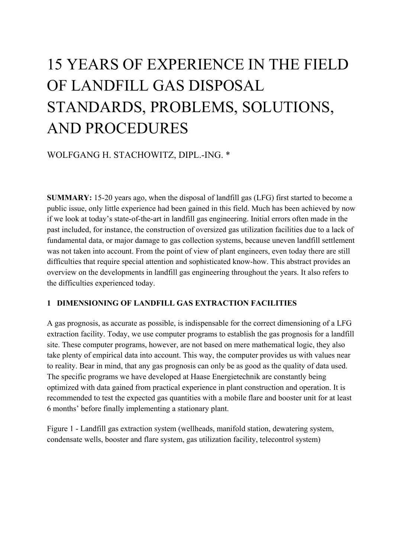# 15 YEARS OF EXPERIENCE IN THE FIELD OF LANDFILL GAS DISPOSAL STANDARDS, PROBLEMS, SOLUTIONS, AND PROCEDURES

## WOLFGANG H. STACHOWITZ, DIPL.-ING. \*

**SUMMARY:** 15-20 years ago, when the disposal of landfill gas (LFG) first started to become a public issue, only little experience had been gained in this field. Much has been achieved by now if we look at today's state-of-the-art in landfill gas engineering. Initial errors often made in the past included, for instance, the construction of oversized gas utilization facilities due to a lack of fundamental data, or major damage to gas collection systems, because uneven landfill settlement was not taken into account. From the point of view of plant engineers, even today there are still difficulties that require special attention and sophisticated know-how. This abstract provides an overview on the developments in landfill gas engineering throughout the years. It also refers to the difficulties experienced today.

### **1 DIMENSIONING OF LANDFILL GAS EXTRACTION FACILITIES**

A gas prognosis, as accurate as possible, is indispensable for the correct dimensioning of a LFG extraction facility. Today, we use computer programs to establish the gas prognosis for a landfill site. These computer programs, however, are not based on mere mathematical logic, they also take plenty of empirical data into account. This way, the computer provides us with values near to reality. Bear in mind, that any gas prognosis can only be as good as the quality of data used. The specific programs we have developed at Haase Energietechnik are constantly being optimized with data gained from practical experience in plant construction and operation. It is recommended to test the expected gas quantities with a mobile flare and booster unit for at least 6 months' before finally implementing a stationary plant.

Figure 1 - Landfill gas extraction system (wellheads, manifold station, dewatering system, condensate wells, booster and flare system, gas utilization facility, telecontrol system)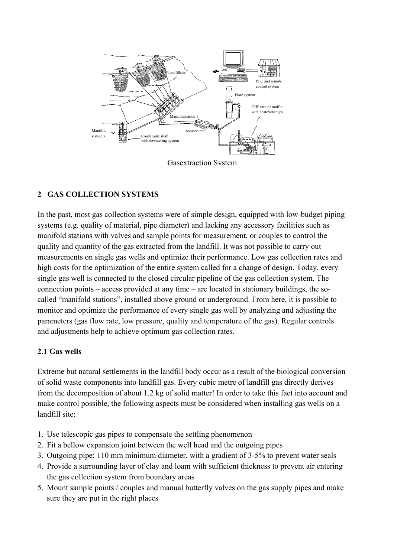

Gasextraction System

## **2 GAS COLLECTION SYSTEMS**

In the past, most gas collection systems were of simple design, equipped with low-budget piping systems (e.g. quality of material, pipe diameter) and lacking any accessory facilities such as manifold stations with valves and sample points for measurement, or couples to control the quality and quantity of the gas extracted from the landfill. It was not possible to carry out measurements on single gas wells and optimize their performance. Low gas collection rates and high costs for the optimization of the entire system called for a change of design. Today, every single gas well is connected to the closed circular pipeline of the gas collection system. The connection points – access provided at any time – are located in stationary buildings, the socalled "manifold stations", installed above ground or underground. From here, it is possible to monitor and optimize the performance of every single gas well by analyzing and adjusting the parameters (gas flow rate, low pressure, quality and temperature of the gas). Regular controls and adjustments help to achieve optimum gas collection rates.

### **2.1 Gas wells**

Extreme but natural settlements in the landfill body occur as a result of the biological conversion of solid waste components into landfill gas. Every cubic metre of landfill gas directly derives from the decomposition of about 1.2 kg of solid matter! In order to take this fact into account and make control possible, the following aspects must be considered when installing gas wells on a landfill site:

- 1. Use telescopic gas pipes to compensate the settling phenomenon
- 2. Fit a bellow expansion joint between the well head and the outgoing pipes
- 3. Outgoing pipe: 110 mm minimum diameter, with a gradient of 3-5% to prevent water seals
- 4. Provide a surrounding layer of clay and loam with sufficient thickness to prevent air entering the gas collection system from boundary areas
- 5. Mount sample points / couples and manual butterfly valves on the gas supply pipes and make sure they are put in the right places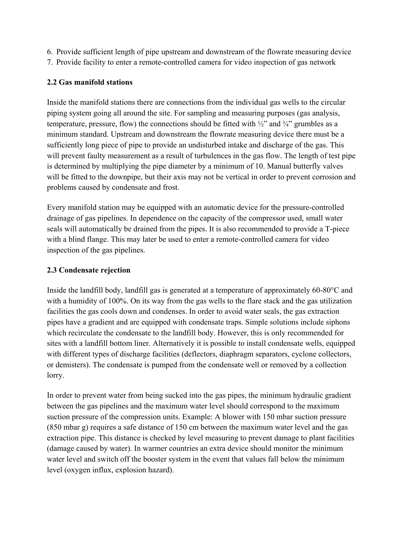- 6. Provide sufficient length of pipe upstream and downstream of the flowrate measuring device
- 7. Provide facility to enter a remote-controlled camera for video inspection of gas network

## **2.2 Gas manifold stations**

Inside the manifold stations there are connections from the individual gas wells to the circular piping system going all around the site. For sampling and measuring purposes (gas analysis, temperature, pressure, flow) the connections should be fitted with  $\frac{1}{2}$  and  $\frac{3}{4}$  grumbles as a minimum standard. Upstream and downstream the flowrate measuring device there must be a sufficiently long piece of pipe to provide an undisturbed intake and discharge of the gas. This will prevent faulty measurement as a result of turbulences in the gas flow. The length of test pipe is determined by multiplying the pipe diameter by a minimum of 10. Manual butterfly valves will be fitted to the downpipe, but their axis may not be vertical in order to prevent corrosion and problems caused by condensate and frost.

Every manifold station may be equipped with an automatic device for the pressure-controlled drainage of gas pipelines. In dependence on the capacity of the compressor used, small water seals will automatically be drained from the pipes. It is also recommended to provide a T-piece with a blind flange. This may later be used to enter a remote-controlled camera for video inspection of the gas pipelines.

## **2.3 Condensate rejection**

Inside the landfill body, landfill gas is generated at a temperature of approximately 60-80°C and with a humidity of 100%. On its way from the gas wells to the flare stack and the gas utilization facilities the gas cools down and condenses. In order to avoid water seals, the gas extraction pipes have a gradient and are equipped with condensate traps. Simple solutions include siphons which recirculate the condensate to the landfill body. However, this is only recommended for sites with a landfill bottom liner. Alternatively it is possible to install condensate wells, equipped with different types of discharge facilities (deflectors, diaphragm separators, cyclone collectors, or demisters). The condensate is pumped from the condensate well or removed by a collection lorry.

In order to prevent water from being sucked into the gas pipes, the minimum hydraulic gradient between the gas pipelines and the maximum water level should correspond to the maximum suction pressure of the compression units. Example: A blower with 150 mbar suction pressure (850 mbar g) requires a safe distance of 150 cm between the maximum water level and the gas extraction pipe. This distance is checked by level measuring to prevent damage to plant facilities (damage caused by water). In warmer countries an extra device should monitor the minimum water level and switch off the booster system in the event that values fall below the minimum level (oxygen influx, explosion hazard).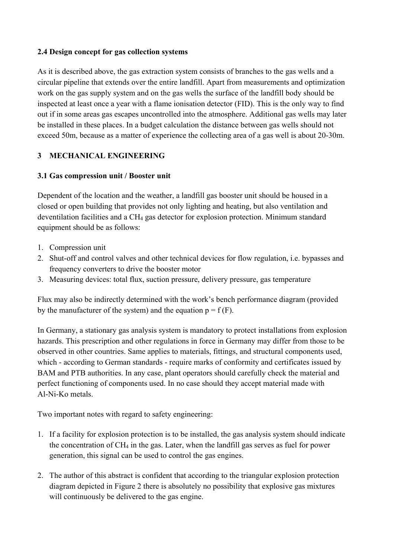#### **2.4 Design concept for gas collection systems**

As it is described above, the gas extraction system consists of branches to the gas wells and a circular pipeline that extends over the entire landfill. Apart from measurements and optimization work on the gas supply system and on the gas wells the surface of the landfill body should be inspected at least once a year with a flame ionisation detector (FID). This is the only way to find out if in some areas gas escapes uncontrolled into the atmosphere. Additional gas wells may later be installed in these places. In a budget calculation the distance between gas wells should not exceed 50m, because as a matter of experience the collecting area of a gas well is about 20-30m.

#### **3 MECHANICAL ENGINEERING**

#### **3.1 Gas compression unit / Booster unit**

Dependent of the location and the weather, a landfill gas booster unit should be housed in a closed or open building that provides not only lighting and heating, but also ventilation and deventilation facilities and a CH4 gas detector for explosion protection. Minimum standard equipment should be as follows:

- 1. Compression unit
- 2. Shut-off and control valves and other technical devices for flow regulation, i.e. bypasses and frequency converters to drive the booster motor
- 3. Measuring devices: total flux, suction pressure, delivery pressure, gas temperature

Flux may also be indirectly determined with the work's bench performance diagram (provided by the manufacturer of the system) and the equation  $p = f(F)$ .

In Germany, a stationary gas analysis system is mandatory to protect installations from explosion hazards. This prescription and other regulations in force in Germany may differ from those to be observed in other countries. Same applies to materials, fittings, and structural components used, which - according to German standards - require marks of conformity and certificates issued by BAM and PTB authorities. In any case, plant operators should carefully check the material and perfect functioning of components used. In no case should they accept material made with Al-Ni-Ko metals.

Two important notes with regard to safety engineering:

- 1. If a facility for explosion protection is to be installed, the gas analysis system should indicate the concentration of  $CH_4$  in the gas. Later, when the landfill gas serves as fuel for power generation, this signal can be used to control the gas engines.
- 2. The author of this abstract is confident that according to the triangular explosion protection diagram depicted in Figure 2 there is absolutely no possibility that explosive gas mixtures will continuously be delivered to the gas engine.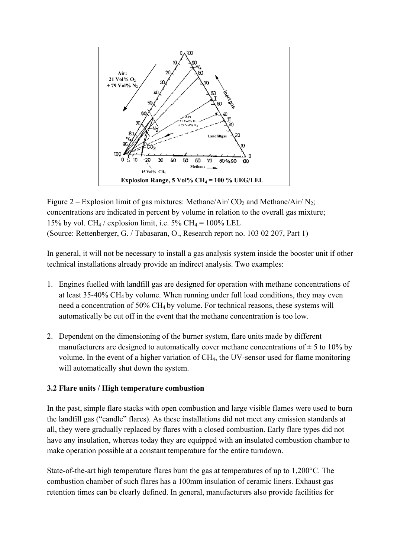

Figure 2 – Explosion limit of gas mixtures: Methane/Air/ CO<sub>2</sub> and Methane/Air/ N<sub>2</sub>; concentrations are indicated in percent by volume in relation to the overall gas mixture; 15% by vol. CH<sub>4</sub> / explosion limit, i.e. 5% CH<sub>4</sub> =  $100\%$  LEL (Source: Rettenberger, G. / Tabasaran, O., Research report no. 103 02 207, Part 1)

In general, it will not be necessary to install a gas analysis system inside the booster unit if other technical installations already provide an indirect analysis. Two examples:

- 1. Engines fuelled with landfill gas are designed for operation with methane concentrations of at least 35-40% CH4 by volume. When running under full load conditions, they may even need a concentration of 50% CH4 by volume. For technical reasons, these systems will automatically be cut off in the event that the methane concentration is too low.
- 2. Dependent on the dimensioning of the burner system, flare units made by different manufacturers are designed to automatically cover methane concentrations of  $\pm$  5 to 10% by volume. In the event of a higher variation of CH4, the UV-sensor used for flame monitoring will automatically shut down the system.

#### **3.2 Flare units / High temperature combustion**

In the past, simple flare stacks with open combustion and large visible flames were used to burn the landfill gas ("candle" flares). As these installations did not meet any emission standards at all, they were gradually replaced by flares with a closed combustion. Early flare types did not have any insulation, whereas today they are equipped with an insulated combustion chamber to make operation possible at a constant temperature for the entire turndown.

State-of-the-art high temperature flares burn the gas at temperatures of up to 1,200°C. The combustion chamber of such flares has a 100mm insulation of ceramic liners. Exhaust gas retention times can be clearly defined. In general, manufacturers also provide facilities for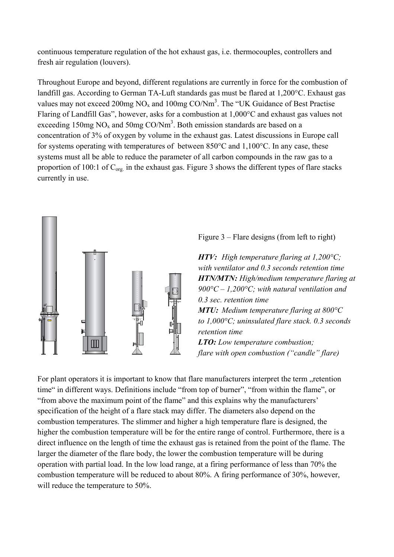continuous temperature regulation of the hot exhaust gas, i.e. thermocouples, controllers and fresh air regulation (louvers).

Throughout Europe and beyond, different regulations are currently in force for the combustion of landfill gas. According to German TA-Luft standards gas must be flared at 1,200°C. Exhaust gas values may not exceed 200mg  $NO_x$  and 100mg  $CO/Nm^3$ . The "UK Guidance of Best Practise Flaring of Landfill Gas", however, asks for a combustion at 1,000°C and exhaust gas values not exceeding 150mg  $NO_x$  and 50mg  $CO/Nm<sup>3</sup>$ . Both emission standards are based on a concentration of 3% of oxygen by volume in the exhaust gas. Latest discussions in Europe call for systems operating with temperatures of between 850°C and 1,100°C. In any case, these systems must all be able to reduce the parameter of all carbon compounds in the raw gas to a proportion of 100:1 of  $C_{org.}$  in the exhaust gas. Figure 3 shows the different types of flare stacks currently in use.



Figure 3 – Flare designs (from left to right)

*HTV: High temperature flaring at 1,200°C; with ventilator and 0.3 seconds retention time HTN/MTN: High/medium temperature flaring at 900°C – 1,200°C; with natural ventilation and 0.3 sec. retention time MTU: Medium temperature flaring at 800°C to 1,000°C; uninsulated flare stack. 0.3 seconds retention time LTO: Low temperature combustion; flare with open combustion ("candle" flare)*

For plant operators it is important to know that flare manufacturers interpret the term "retention time" in different ways. Definitions include "from top of burner", "from within the flame", or "from above the maximum point of the flame" and this explains why the manufacturers' specification of the height of a flare stack may differ. The diameters also depend on the combustion temperatures. The slimmer and higher a high temperature flare is designed, the higher the combustion temperature will be for the entire range of control. Furthermore, there is a direct influence on the length of time the exhaust gas is retained from the point of the flame. The larger the diameter of the flare body, the lower the combustion temperature will be during operation with partial load. In the low load range, at a firing performance of less than 70% the combustion temperature will be reduced to about 80%. A firing performance of 30%, however, will reduce the temperature to 50%.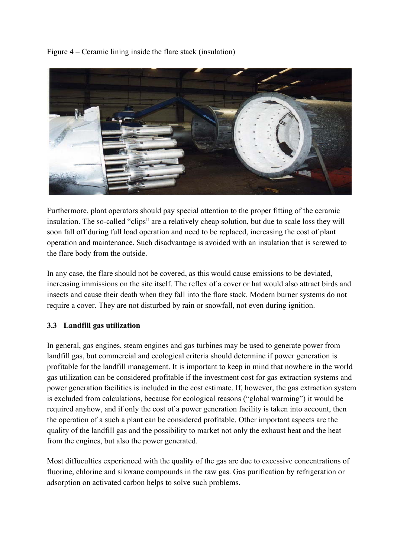Figure 4 – Ceramic lining inside the flare stack (insulation)



Furthermore, plant operators should pay special attention to the proper fitting of the ceramic insulation. The so-called "clips" are a relatively cheap solution, but due to scale loss they will soon fall off during full load operation and need to be replaced, increasing the cost of plant operation and maintenance. Such disadvantage is avoided with an insulation that is screwed to the flare body from the outside.

In any case, the flare should not be covered, as this would cause emissions to be deviated, increasing immissions on the site itself. The reflex of a cover or hat would also attract birds and insects and cause their death when they fall into the flare stack. Modern burner systems do not require a cover. They are not disturbed by rain or snowfall, not even during ignition.

### **3.3 Landfill gas utilization**

In general, gas engines, steam engines and gas turbines may be used to generate power from landfill gas, but commercial and ecological criteria should determine if power generation is profitable for the landfill management. It is important to keep in mind that nowhere in the world gas utilization can be considered profitable if the investment cost for gas extraction systems and power generation facilities is included in the cost estimate. If, however, the gas extraction system is excluded from calculations, because for ecological reasons ("global warming") it would be required anyhow, and if only the cost of a power generation facility is taken into account, then the operation of a such a plant can be considered profitable. Other important aspects are the quality of the landfill gas and the possibility to market not only the exhaust heat and the heat from the engines, but also the power generated.

Most diffuculties experienced with the quality of the gas are due to excessive concentrations of fluorine, chlorine and siloxane compounds in the raw gas. Gas purification by refrigeration or adsorption on activated carbon helps to solve such problems.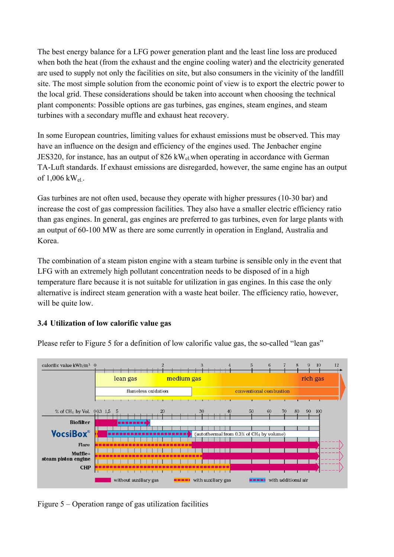The best energy balance for a LFG power generation plant and the least line loss are produced when both the heat (from the exhaust and the engine cooling water) and the electricity generated are used to supply not only the facilities on site, but also consumers in the vicinity of the landfill site. The most simple solution from the economic point of view is to export the electric power to the local grid. These considerations should be taken into account when choosing the technical plant components: Possible options are gas turbines, gas engines, steam engines, and steam turbines with a secondary muffle and exhaust heat recovery.

In some European countries, limiting values for exhaust emissions must be observed. This may have an influence on the design and efficiency of the engines used. The Jenbacher engine JES320, for instance, has an output of  $826 \text{ kW}_{el}$  when operating in accordance with German TA-Luft standards. If exhaust emissions are disregarded, however, the same engine has an output of  $1,006$  kW<sub>el</sub>.

Gas turbines are not often used, because they operate with higher pressures (10-30 bar) and increase the cost of gas compression facilities. They also have a smaller electric efficiency ratio than gas engines. In general, gas engines are preferred to gas turbines, even for large plants with an output of 60-100 MW as there are some currently in operation in England, Australia and Korea.

The combination of a steam piston engine with a steam turbine is sensible only in the event that LFG with an extremely high pollutant concentration needs to be disposed of in a high temperature flare because it is not suitable for utilization in gas engines. In this case the only alternative is indirect steam generation with a waste heat boiler. The efficiency ratio, however, will be quite low.

### **3.4 Utilization of low calorific value gas**



Please refer to Figure 5 for a definition of low calorific value gas, the so-called "lean gas"

Figure 5 – Operation range of gas utilization facilities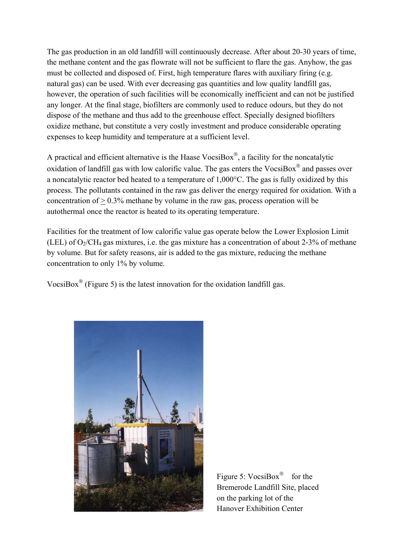The gas production in an old landfill will continuously decrease. After about 20-30 years of time, the methane content and the gas flowrate will not be sufficient to flare the gas. Anyhow, the gas must be collected and disposed of. First, high temperature flares with auxiliary firing (e.g. natural gas) can be used. With ever decreasing gas quantities and low quality landfill gas, however, the operation of such facilities will be economically inefficient and can not be justified any longer. At the final stage, biofilters are commonly used to reduce odours, but they do not dispose of the methane and thus add to the greenhouse effect. Specially designed biofilters oxidize methane, but constitute a very costly investment and produce considerable operating expenses to keep humidity and temperature at a sufficient level.

A practical and efficient alternative is the Haase VocsiBox $^{\circ}$ , a facility for the noncatalytic oxidation of landfill gas with low calorific value. The gas enters the VocsiBox $^{\circledR}$  and passes over a noncatalytic reactor bed heated to a temperature of 1,000°C. The gas is fully oxidized by this process. The pollutants contained in the raw gas deliver the energy required for oxidation. With a concentration of  $> 0.3\%$  methane by volume in the raw gas, process operation will be autothermal once the reactor is heated to its operating temperature.

Facilities for the treatment of low calorific value gas operate below the Lower Explosion Limit (LEL) of  $O_2/CH_4$  gas mixtures, i.e. the gas mixture has a concentration of about 2-3% of methane by volume. But for safety reasons, air is added to the gas mixture, reducing the methane concentration to only 1% by volume.

VocsiBox $^{\circ}$  (Figure 5) is the latest innovation for the oxidation landfill gas.



Figure 5:  $VoesiBox^{\circledR}$  for the Bremerode Landfill Site, placed on the parking lot of the Hanover Exhibition Center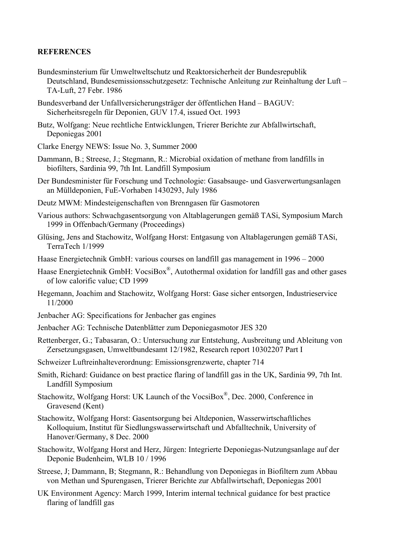#### **REFERENCES**

- Bundesminsterium für Umweltweltschutz und Reaktorsicherheit der Bundesrepublik Deutschland, Bundesemissionsschutzgesetz: Technische Anleitung zur Reinhaltung der Luft – TA-Luft, 27 Febr. 1986
- Bundesverband der Unfallversicherungsträger der öffentlichen Hand BAGUV: Sicherheitsregeln für Deponien, GUV 17.4, issued Oct. 1993
- Butz, Wolfgang: Neue rechtliche Entwicklungen, Trierer Berichte zur Abfallwirtschaft, Deponiegas 2001
- Clarke Energy NEWS: Issue No. 3, Summer 2000
- Dammann, B.; Streese, J.; Stegmann, R.: Microbial oxidation of methane from landfills in biofilters, Sardinia 99, 7th Int. Landfill Symposium
- Der Bundesminister für Forschung und Technologie: Gasabsauge- und Gasverwertungsanlagen an Mülldeponien, FuE-Vorhaben 1430293, July 1986
- Deutz MWM: Mindesteigenschaften von Brenngasen für Gasmotoren
- Various authors: Schwachgasentsorgung von Altablagerungen gemäß TASi, Symposium March 1999 in Offenbach/Germany (Proceedings)
- Glüsing, Jens and Stachowitz, Wolfgang Horst: Entgasung von Altablagerungen gemäß TASi, TerraTech 1/1999
- Haase Energietechnik GmbH: various courses on landfill gas management in 1996 2000
- Haase Energietechnik GmbH: VocsiBox<sup>®</sup>, Autothermal oxidation for landfill gas and other gases of low calorific value; CD 1999
- Hegemann, Joachim and Stachowitz, Wolfgang Horst: Gase sicher entsorgen, Industrieservice 11/2000
- Jenbacher AG: Specifications for Jenbacher gas engines
- Jenbacher AG: Technische Datenblätter zum Deponiegasmotor JES 320
- Rettenberger, G.; Tabasaran, O.: Untersuchung zur Entstehung, Ausbreitung und Ableitung von Zersetzungsgasen, Umweltbundesamt 12/1982, Research report 10302207 Part I
- Schweizer Luftreinhalteverordnung: Emissionsgrenzwerte, chapter 714
- Smith, Richard: Guidance on best practice flaring of landfill gas in the UK, Sardinia 99, 7th Int. Landfill Symposium
- Stachowitz, Wolfgang Horst: UK Launch of the VocsiBox®, Dec. 2000, Conference in Gravesend (Kent)
- Stachowitz, Wolfgang Horst: Gasentsorgung bei Altdeponien, Wasserwirtschaftliches Kolloquium, Institut für Siedlungswasserwirtschaft und Abfalltechnik, University of Hanover/Germany, 8 Dec. 2000
- Stachowitz, Wolfgang Horst and Herz, Jürgen: Integrierte Deponiegas-Nutzungsanlage auf der Deponie Budenheim, WLB 10 / 1996
- Streese, J; Dammann, B; Stegmann, R.: Behandlung von Deponiegas in Biofiltern zum Abbau von Methan und Spurengasen, Trierer Berichte zur Abfallwirtschaft, Deponiegas 2001
- UK Environment Agency: March 1999, Interim internal technical guidance for best practice flaring of landfill gas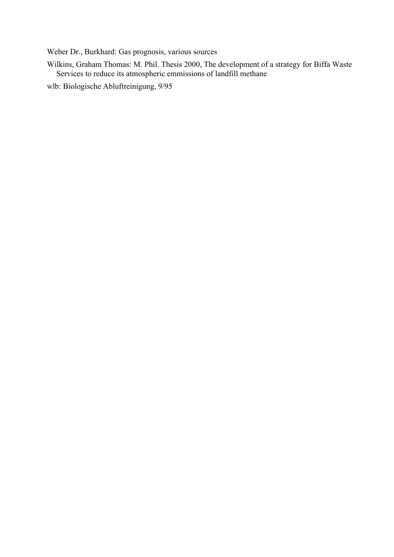Weber Dr., Burkhard: Gas prognosis, various sources

Wilkins, Graham Thomas: M. Phil. Thesis 2000, The development of a strategy for Biffa Waste Services to reduce its atmospheric emmissions of landfill methane

wlb: Biologische Abluftreinigung, 9/95